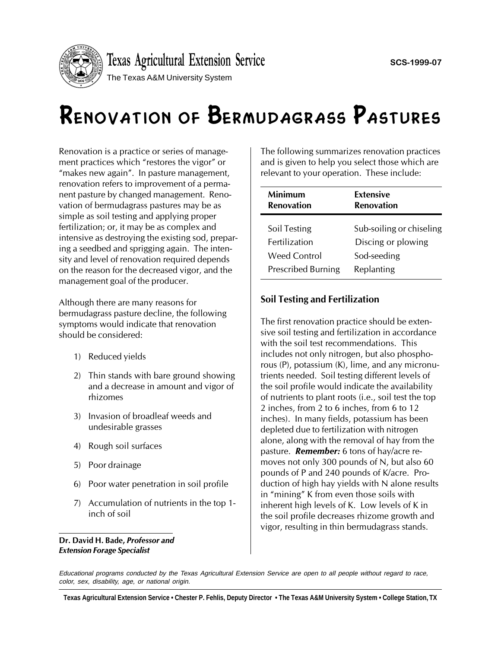

# Renovation of Bermudagrass Pastures

Renovation is a practice or series of management practices which "restores the vigor" or "makes new again". In pasture management, renovation refers to improvement of a permanent pasture by changed management. Renovation of bermudagrass pastures may be as simple as soil testing and applying proper fertilization; or, it may be as complex and intensive as destroying the existing sod, preparing a seedbed and sprigging again. The intensity and level of renovation required depends on the reason for the decreased vigor, and the management goal of the producer.

Although there are many reasons for bermudagrass pasture decline, the following symptoms would indicate that renovation should be considered:

- 1) Reduced yields
- 2) Thin stands with bare ground showing and a decrease in amount and vigor of rhizomes
- 3) Invasion of broadleaf weeds and undesirable grasses
- 4) Rough soil surfaces
- 5) Poor drainage
- 6) Poor water penetration in soil profile
- 7) Accumulation of nutrients in the top 1 inch of soil

Dr. David H. Bade, Professor and Extension Forage Specialist

The following summarizes renovation practices and is given to help you select those which are relevant to your operation. These include:

| Minimum                   | <b>Extensive</b>         |
|---------------------------|--------------------------|
| <b>Renovation</b>         | <b>Renovation</b>        |
| Soil Testing              | Sub-soiling or chiseling |
| <b>Fertilization</b>      | Discing or plowing       |
| Weed Control              | Sod-seeding              |
| <b>Prescribed Burning</b> | Replanting               |

# Soil Testing and Fertilization

The first renovation practice should be extensive soil testing and fertilization in accordance with the soil test recommendations. This includes not only nitrogen, but also phosphorous (P), potassium (K), lime, and any micronutrients needed. Soil testing different levels of the soil profile would indicate the availability of nutrients to plant roots (i.e., soil test the top 2 inches, from 2 to 6 inches, from 6 to 12 inches). In many fields, potassium has been depleted due to fertilization with nitrogen alone, along with the removal of hay from the pasture. **Remember:** 6 tons of hay/acre removes not only 300 pounds of N, but also 60 pounds of P and 240 pounds of K/acre. Production of high hay yields with N alone results in "mining" K from even those soils with inherent high levels of K. Low levels of K in the soil profile decreases rhizome growth and vigor, resulting in thin bermudagrass stands.

Educational programs conducted by the Texas Agricultural Extension Service are open to all people without regard to race, color, sex, disability, age, or national origin.

**Texas Agricultural Extension Service • Chester P. Fehlis, Deputy Director • The Texas A&M University System • College Station, TX**